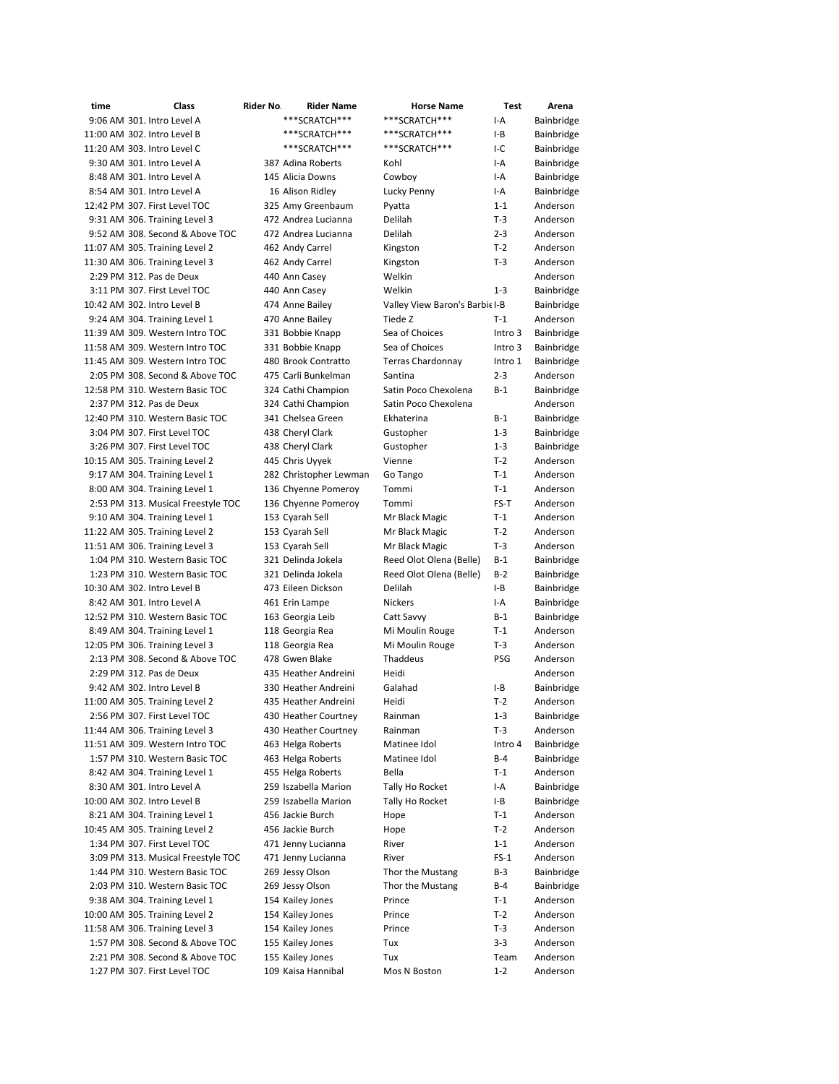| time                        | Class                                                             | Rider No. | <b>Rider Name</b>                        | <b>Horse Name</b>             | Test         | Arena                  |
|-----------------------------|-------------------------------------------------------------------|-----------|------------------------------------------|-------------------------------|--------------|------------------------|
|                             | 9:06 AM 301. Intro Level A                                        |           | ***SCRATCH***                            | ***SCRATCH***                 | I-A          | Bainbridge             |
| 11:00 AM 302. Intro Level B |                                                                   |           | ***SCRATCH***                            | ***SCRATCH***                 | $I-B$        | Bainbridge             |
| 11:20 AM 303. Intro Level C |                                                                   |           | ***SCRATCH***                            | ***SCRATCH***                 | I-C          | Bainbridge             |
|                             | 9:30 AM 301. Intro Level A                                        |           | 387 Adina Roberts                        | Kohl                          | I-A          | Bainbridge             |
|                             | 8:48 AM 301. Intro Level A                                        |           | 145 Alicia Downs                         | Cowboy                        | I-A          | Bainbridge             |
|                             | 8:54 AM 301. Intro Level A                                        |           | 16 Alison Ridley                         | Lucky Penny                   | I-A          | Bainbridge             |
|                             | 12:42 PM 307. First Level TOC                                     |           | 325 Amy Greenbaum                        | Pyatta                        | $1 - 1$      | Anderson               |
|                             | 9:31 AM 306. Training Level 3                                     |           | 472 Andrea Lucianna                      | Delilah                       | $T-3$        | Anderson               |
|                             | 9:52 AM 308. Second & Above TOC                                   |           | 472 Andrea Lucianna                      | Delilah                       | $2 - 3$      | Anderson               |
|                             | 11:07 AM 305. Training Level 2                                    |           | 462 Andy Carrel                          | Kingston                      | $T-2$        | Anderson               |
|                             | 11:30 AM 306. Training Level 3                                    |           | 462 Andy Carrel                          | Kingston                      | $T-3$        | Anderson               |
|                             | 2:29 PM 312. Pas de Deux                                          |           | 440 Ann Casey                            | Welkin                        |              | Anderson               |
|                             | 3:11 PM 307. First Level TOC                                      |           | 440 Ann Casey                            | Welkin                        | $1 - 3$      | Bainbridge             |
| 10:42 AM 302. Intro Level B |                                                                   |           | 474 Anne Bailey                          | Valley View Baron's Barbiel-B |              | Bainbridge             |
|                             | 9:24 AM 304. Training Level 1                                     |           | 470 Anne Bailey                          | Tiede Z                       | $T-1$        | Anderson               |
|                             | 11:39 AM 309. Western Intro TOC                                   |           | 331 Bobbie Knapp                         | Sea of Choices                | Intro 3      | Bainbridge             |
|                             | 11:58 AM 309. Western Intro TOC                                   |           | 331 Bobbie Knapp                         | Sea of Choices                | Intro 3      | Bainbridge             |
|                             | 11:45 AM 309. Western Intro TOC                                   |           | 480 Brook Contratto                      | <b>Terras Chardonnay</b>      | Intro 1      | Bainbridge             |
|                             | 2:05 PM 308. Second & Above TOC                                   |           | 475 Carli Bunkelman                      | Santina                       | $2 - 3$      | Anderson               |
|                             | 12:58 PM 310. Western Basic TOC                                   |           | 324 Cathi Champion                       | Satin Poco Chexolena          | $B-1$        | Bainbridge             |
|                             | 2:37 PM 312. Pas de Deux                                          |           | 324 Cathi Champion                       | Satin Poco Chexolena          |              | Anderson               |
|                             | 12:40 PM 310. Western Basic TOC                                   |           | 341 Chelsea Green                        | Ekhaterina                    | $B-1$        | Bainbridge             |
|                             | 3:04 PM 307. First Level TOC                                      |           | 438 Cheryl Clark                         | Gustopher                     | $1 - 3$      | Bainbridge             |
|                             | 3:26 PM 307. First Level TOC                                      |           | 438 Cheryl Clark                         | Gustopher                     | $1 - 3$      | Bainbridge             |
|                             | 10:15 AM 305. Training Level 2                                    |           | 445 Chris Uyyek                          | Vienne                        | $T-2$        | Anderson               |
|                             | 9:17 AM 304. Training Level 1                                     |           | 282 Christopher Lewman                   |                               | $T-1$        | Anderson               |
|                             | 8:00 AM 304. Training Level 1                                     |           | 136 Chyenne Pomeroy                      | Go Tango<br>Tommi             | $T-1$        | Anderson               |
|                             | 2:53 PM 313. Musical Freestyle TOC                                |           | 136 Chyenne Pomeroy                      | Tommi                         | FS-T         | Anderson               |
|                             |                                                                   |           |                                          |                               | T-1          | Anderson               |
|                             | 9:10 AM 304. Training Level 1                                     |           | 153 Cyarah Sell                          | Mr Black Magic                | $T-2$        | Anderson               |
|                             | 11:22 AM 305. Training Level 2                                    |           | 153 Cyarah Sell                          | Mr Black Magic                | $T-3$        | Anderson               |
|                             | 11:51 AM 306. Training Level 3                                    |           | 153 Cyarah Sell                          | Mr Black Magic                |              |                        |
|                             | 1:04 PM 310. Western Basic TOC<br>1:23 PM 310. Western Basic TOC  |           | 321 Delinda Jokela<br>321 Delinda Jokela | Reed Olot Olena (Belle)       | B-1          | Bainbridge             |
|                             |                                                                   |           |                                          | Reed Olot Olena (Belle)       | $B-2$        | Bainbridge             |
| 10:30 AM 302. Intro Level B |                                                                   |           | 473 Eileen Dickson                       | Delilah                       | I-B          | Bainbridge             |
|                             | 8:42 AM 301. Intro Level A                                        |           | 461 Erin Lampe                           | <b>Nickers</b>                | I-A          | Bainbridge             |
|                             | 12:52 PM 310. Western Basic TOC<br>8:49 AM 304. Training Level 1  |           | 163 Georgia Leib                         | Catt Savvy<br>Mi Moulin Rouge | $B-1$        | Bainbridge<br>Anderson |
|                             |                                                                   |           | 118 Georgia Rea                          |                               | $T-1$        |                        |
|                             | 12:05 PM 306. Training Level 3<br>2:13 PM 308. Second & Above TOC |           | 118 Georgia Rea<br>478 Gwen Blake        | Mi Moulin Rouge<br>Thaddeus   | T-3<br>PSG   | Anderson<br>Anderson   |
|                             |                                                                   |           |                                          |                               |              |                        |
|                             | 2:29 PM 312. Pas de Deux                                          |           | 435 Heather Andreini                     | Heidi                         |              | Anderson               |
|                             | 9:42 AM 302. Intro Level B                                        |           | 330 Heather Andreini                     | Galahad                       | I-B<br>$T-2$ | Bainbridge             |
|                             | 11:00 AM 305. Training Level 2                                    |           | 435 Heather Andreini                     | Heidi                         |              | Anderson               |
|                             | 2:56 PM 307. First Level TOC                                      |           | 430 Heather Courtney                     | Rainman                       | $1 - 3$      | Bainbridge             |
|                             | 11:44 AM 306. Training Level 3                                    |           | 430 Heather Courtney                     | Rainman                       | T-3          | Anderson<br>Bainbridge |
|                             | 11:51 AM 309. Western Intro TOC<br>1:57 PM 310. Western Basic TOC |           | 463 Helga Roberts                        | Matinee Idol<br>Matinee Idol  | Intro 4      |                        |
|                             |                                                                   |           | 463 Helga Roberts                        |                               | B-4          | Bainbridge             |
|                             | 8:42 AM 304. Training Level 1                                     |           | 455 Helga Roberts                        | Bella                         | $T-1$        | Anderson               |
|                             | 8:30 AM 301. Intro Level A                                        |           | 259 Iszabella Marion                     | Tally Ho Rocket               | I-A          | Bainbridge             |
| 10:00 AM 302. Intro Level B |                                                                   |           | 259 Iszabella Marion                     | Tally Ho Rocket               | I-B          | Bainbridge             |
|                             | 8:21 AM 304. Training Level 1                                     |           | 456 Jackie Burch                         | Hope                          | T-1          | Anderson               |
|                             | 10:45 AM 305. Training Level 2                                    |           | 456 Jackie Burch                         | Hope                          | T-2          | Anderson               |
|                             | 1:34 PM 307. First Level TOC                                      |           | 471 Jenny Lucianna                       | River                         | $1 - 1$      | Anderson               |
|                             | 3:09 PM 313. Musical Freestyle TOC                                |           | 471 Jenny Lucianna                       | River                         | $FS-1$       | Anderson               |
|                             | 1:44 PM 310. Western Basic TOC                                    |           | 269 Jessy Olson                          | Thor the Mustang              | B-3          | Bainbridge             |
|                             | 2:03 PM 310. Western Basic TOC                                    |           | 269 Jessy Olson                          | Thor the Mustang              | B-4          | Bainbridge             |
|                             | 9:38 AM 304. Training Level 1                                     |           | 154 Kailey Jones                         | Prince                        | T-1          | Anderson               |
|                             | 10:00 AM 305. Training Level 2                                    |           | 154 Kailey Jones                         | Prince                        | T-2          | Anderson               |
|                             | 11:58 AM 306. Training Level 3                                    |           | 154 Kailey Jones                         | Prince                        | T-3          | Anderson               |
|                             | 1:57 PM 308. Second & Above TOC                                   |           | 155 Kailey Jones                         | Tux                           | $3 - 3$      | Anderson               |
|                             | 2:21 PM 308. Second & Above TOC                                   |           | 155 Kailey Jones                         | Tux                           | Team         | Anderson               |
|                             | 1:27 PM 307. First Level TOC                                      |           | 109 Kaisa Hannibal                       | Mos N Boston                  | $1 - 2$      | Anderson               |